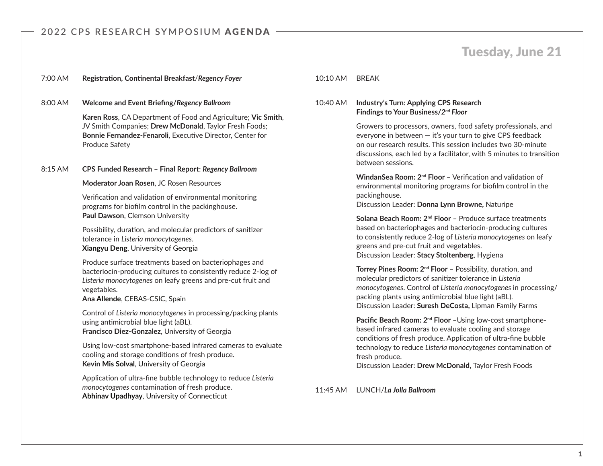# Tuesday, June 21

### 7:00 AM **Registration, Continental Breakfast**/*Regency Foyer*

### 8:00 AM **Welcome and Event Briefing/***Regency Ballroom*

**Karen Ross**, CA Department of Food and Agriculture; **Vic Smith**, JV Smith Companies; **Drew McDonald**, Taylor Fresh Foods; **Bonnie Fernandez-Fenaroli**, Executive Director, Center for Produce Safety

#### 8:15 AM **CPS Funded Research – Final Report**: *Regency Ballroom*

**Moderator Joan Rosen**, JC Rosen Resources

Verification and validation of environmental monitoring programs for biofilm control in the packinghouse. **Paul Dawson**, Clemson University

Possibility, duration, and molecular predictors of sanitizer tolerance in *Listeria monocytogenes*. **Xiangyu Deng**, University of Georgia

Produce surface treatments based on bacteriophages and bacteriocin-producing cultures to consistently reduce 2-log of *Listeria monocytogenes* on leafy greens and pre-cut fruit and vegetables.

#### **Ana Allende**, CEBAS-CSIC, Spain

Control of *Listeria monocytogenes* in processing/packing plants using antimicrobial blue light (aBL). **Francisco Diez-Gonzalez**, University of Georgia

Using low-cost smartphone-based infrared cameras to evaluate cooling and storage conditions of fresh produce. **Kevin Mis Solval**, University of Georgia

Application of ultra-fine bubble technology to reduce *Listeria monocytogenes* contamination of fresh produce. **Abhinav Upadhyay**, University of Connecticut

### 10:10 AM BREAK

## 10:40 AM **Industry's Turn: Applying CPS Research Findings to Your Business/***2nd Floor*

Growers to processors, owners, food safety professionals, and everyone in between — it's your turn to give CPS feedback on our research results. This session includes two 30-minute discussions, each led by a facilitator, with 5 minutes to transition between sessions.

**WindanSea Room: 2nd Floor** – Verification and validation of environmental monitoring programs for biofilm control in the packinghouse.

Discussion Leader: **Donna Lynn Browne,** Naturipe

**Solana Beach Room: 2nd Floor** – Produce surface treatments based on bacteriophages and bacteriocin-producing cultures to consistently reduce 2-log of *Listeria monocytogenes* on leafy greens and pre-cut fruit and vegetables. Discussion Leader: **Stacy Stoltenberg**, Hygiena

**Torrey Pines Room: 2nd Floor** – Possibility, duration, and molecular predictors of sanitizer tolerance in *Listeria monocytogenes*. Control of *Listeria monocytogenes* in processing/ packing plants using antimicrobial blue light (aBL). Discussion Leader: **Suresh DeCosta,** Lipman Family Farms

**Pacific Beach Room: 2nd Floor** –Using low-cost smartphonebased infrared cameras to evaluate cooling and storage conditions of fresh produce. Application of ultra-fine bubble technology to reduce *Listeria monocytogenes* contamination of fresh produce.

Discussion Leader: **Drew McDonald,** Taylor Fresh Foods

11:45 AM LUNCH/*La Jolla Ballroom*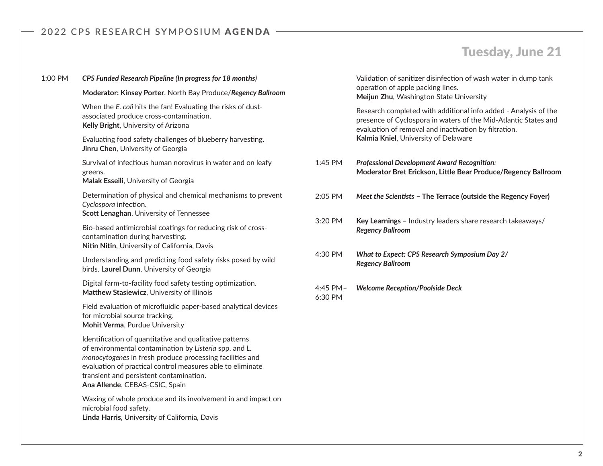# Tuesday, June 21

| 1:00 PM | CPS Funded Research Pipeline (In progress for 18 months)                                                                                                                                                                                                                                                                 |                     | Validation of                                  |
|---------|--------------------------------------------------------------------------------------------------------------------------------------------------------------------------------------------------------------------------------------------------------------------------------------------------------------------------|---------------------|------------------------------------------------|
|         | Moderator: Kinsey Porter, North Bay Produce/Regency Ballroom                                                                                                                                                                                                                                                             |                     | operation of<br>Meijun Zhu,                    |
|         | When the E. coli hits the fan! Evaluating the risks of dust-<br>associated produce cross-contamination.<br>Kelly Bright, University of Arizona                                                                                                                                                                           |                     | Research cor<br>presence of 0<br>evaluation of |
|         | Evaluating food safety challenges of blueberry harvesting.<br>Jinru Chen, University of Georgia                                                                                                                                                                                                                          |                     | Kalmia Kniel                                   |
|         | Survival of infectious human norovirus in water and on leafy<br>greens.<br>Malak Esseili, University of Georgia                                                                                                                                                                                                          | 1:45 PM             | <b>Professional L</b><br><b>Moderator B</b>    |
|         | Determination of physical and chemical mechanisms to prevent<br>Cyclospora infection.<br>Scott Lenaghan, University of Tennessee                                                                                                                                                                                         | 2:05 PM             | <b>Meet the Scie</b>                           |
|         | Bio-based antimicrobial coatings for reducing risk of cross-<br>contamination during harvesting.<br>Nitin Nitin, University of California, Davis                                                                                                                                                                         | 3:20 PM             | <b>Key Learning</b><br><b>Regency Ballr</b>    |
|         | Understanding and predicting food safety risks posed by wild<br>birds. Laurel Dunn, University of Georgia                                                                                                                                                                                                                | 4:30 PM             | <b>What to Expe</b><br><b>Regency Ballr</b>    |
|         | Digital farm-to-facility food safety testing optimization.<br>Matthew Stasiewicz, University of Illinois                                                                                                                                                                                                                 | 4:45 PM-<br>6:30 PM | <b>Welcome Rec</b>                             |
|         | Field evaluation of microfluidic paper-based analytical devices<br>for microbial source tracking.<br>Mohit Verma, Purdue University                                                                                                                                                                                      |                     |                                                |
|         | Identification of quantitative and qualitative patterns<br>of environmental contamination by Listeria spp. and L.<br>monocytogenes in fresh produce processing facilities and<br>evaluation of practical control measures able to eliminate<br>transient and persistent contamination.<br>Ana Allende, CEBAS-CSIC, Spain |                     |                                                |
|         | Waxing of whole produce and its involvement in and impact on<br>microbial food safety.<br>Linda Harris, University of California, Davis                                                                                                                                                                                  |                     |                                                |
|         |                                                                                                                                                                                                                                                                                                                          |                     |                                                |

sanitizer disinfection of wash water in dump tank apple packing lines. **Washington State University** 

mpleted with additional info added - Analysis of the Cyclospora in waters of the Mid-Atlantic States and removal and inactivation by filtration. **Kalawia Knighta Knighta** 

- 1:45 PM *Professional Development Award Recognition:*  **Moder Erickson, Little Bear Produce/Regency Ballroom**
- 2:05 PM *Meet the Scientists* **The Terrace (outside the Regency Foyer)**
- 5 Industry leaders share research takeaways/ *Regency Ballroom*
- 4:30 PM *What to Expect: CPS Research Symposium Day 2/ Regency Ballroom*
- 4:45 PM– *Welcome Reception/Poolside Deck*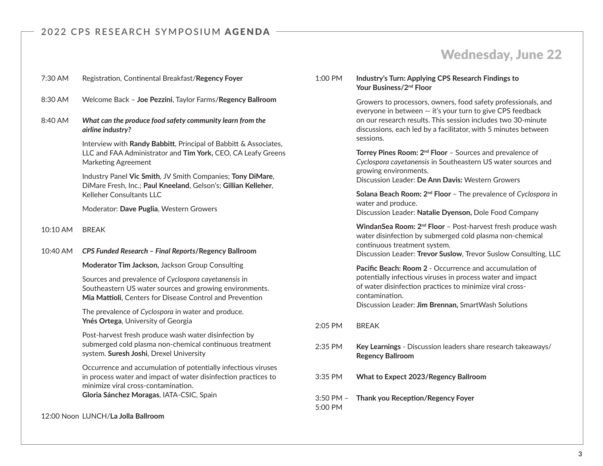# Wednesday, June 22

| 7:30 AM  | Registration, Continental Breakfast/Regency Foyer                                                                                                                                                                  |
|----------|--------------------------------------------------------------------------------------------------------------------------------------------------------------------------------------------------------------------|
| 8:30 AM  | Welcome Back - Joe Pezzini, Taylor Farms/Regency Ballroom                                                                                                                                                          |
| 8:40 AM  | What can the produce food safety community learn from the<br>airline industry?                                                                                                                                     |
|          | Interview with Randy Babbitt, Principal of Babbitt & Associates,<br>LLC and FAA Administrator and Tim York, CEO, CA Leafy Greens<br><b>Marketing Agreement</b>                                                     |
|          | Industry Panel Vic Smith, JV Smith Companies; Tony DiMare,<br>DiMare Fresh, Inc.; Paul Kneeland, Gelson's; Gillian Kelleher,<br>Kelleher Consultants LLC                                                           |
|          | Moderator: Dave Puglia, Western Growers                                                                                                                                                                            |
| 10:10 AM | <b>BREAK</b>                                                                                                                                                                                                       |
| 10:40 AM | CPS Funded Research - Final Reports/Regency Ballroom                                                                                                                                                               |
|          |                                                                                                                                                                                                                    |
|          | Moderator Tim Jackson, Jackson Group Consulting                                                                                                                                                                    |
|          | Sources and prevalence of Cyclospora cayetanensis in<br>Southeastern US water sources and growing environments.<br>Mia Mattioli, Centers for Disease Control and Prevention                                        |
|          | The prevalence of Cyclospora in water and produce.<br>Ynés Ortega, University of Georgia                                                                                                                           |
|          | Post-harvest fresh produce wash water disinfection by<br>submerged cold plasma non-chemical continuous treatment<br>system. Suresh Joshi, Drexel University                                                        |
|          | Occurrence and accumulation of potentially infectious viruses<br>in process water and impact of water disinfection practices to<br>minimize viral cross-contamination.<br>Gloria Sánchez Moragas, IATA-CSIC, Spain |

12:00 Noon LUNCH/**La Jolla Ballroom**

1:00 PM **Industry's Turn: Applying CPS Research Findings to Your Business/2nd Floor** 

> Growers to processors, owners, food safety professionals, and everyone in between  $-$  it's your turn to give CPS feedback on our research results. This session includes two 30-minute discussions, each led by a facilitator, with 5 minutes between sessions.

> **Torrey Pines Room: 2<sup>nd</sup> Floor** - Sources and prevalence of *Cyclospora cayetanensis* in Southeastern US water sources and growing environments. Discussion Leader: **De Ann Davis:** Western Growers

**Solana Beach Room: 2nd Floor** – The prevalence of *Cyclospora* in water and produce.

Discussion Leader: **Natalie Dyenson,** Dole Food Company

WindanSea Room: 2<sup>nd</sup> Floor - Post-harvest fresh produce wash water disinfection by submerged cold plasma non-chemical continuous treatment system.

Discussion Leader: **Trevor Suslow**, Trevor Suslow Consulting, LLC

**Pacific Beach: Room 2** - Occurrence and accumulation of potentially infectious viruses in process water and impact of water disinfection practices to minimize viral crosscontamination. Discussion Leader: **Jim Brennan,** SmartWash Solutions

- 2:05 PM BREAK
- 2:35 PM **Key Learnings** Discussion leaders share research takeaways/ **Regency Ballroom**
- 3:35 PM **What to Expect 2023/Regency Ballroom**
- 3:50 PM **Thank you Reception/Regency Foyer** 5:00 PM